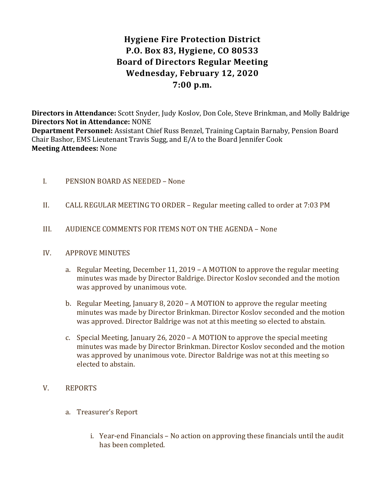# Hygiene Fire Protection District P.O. Box 83, Hygiene, CO 80533 Board of Directors Regular Meeting Wednesday, February 12, 2020 7:00 p.m.

Directors in Attendance: Scott Snyder, Judy Koslov, Don Cole, Steve Brinkman, and Molly Baldrige Directors Not in Attendance: NONE Department Personnel: Assistant Chief Russ Benzel, Training Captain Barnaby, Pension Board Chair Bashor, EMS Lieutenant Travis Sugg, and E/A to the Board Jennifer Cook Meeting Attendees: None

- I. PENSION BOARD AS NEEDED None
- II. CALL REGULAR MEETING TO ORDER Regular meeting called to order at 7:03 PM
- III. AUDIENCE COMMENTS FOR ITEMS NOT ON THE AGENDA None

#### IV. APPROVE MINUTES

- a. Regular Meeting, December 11, 2019 A MOTION to approve the regular meeting minutes was made by Director Baldrige. Director Koslov seconded and the motion was approved by unanimous vote.
- b. Regular Meeting, January 8, 2020 A MOTION to approve the regular meeting minutes was made by Director Brinkman. Director Koslov seconded and the motion was approved. Director Baldrige was not at this meeting so elected to abstain.
- c. Special Meeting, January 26, 2020 A MOTION to approve the special meeting minutes was made by Director Brinkman. Director Koslov seconded and the motion was approved by unanimous vote. Director Baldrige was not at this meeting so elected to abstain.

# V. REPORTS

- a. Treasurer's Report
	- i. Year-end Financials No action on approving these financials until the audit has been completed.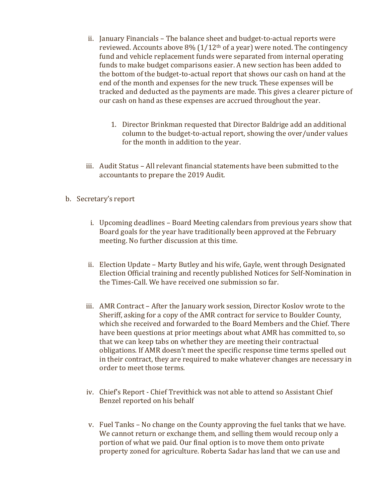- ii. January Financials The balance sheet and budget-to-actual reports were reviewed. Accounts above  $8\%$  ( $1/12$ <sup>th</sup> of a year) were noted. The contingency fund and vehicle replacement funds were separated from internal operating funds to make budget comparisons easier. A new section has been added to the bottom of the budget-to-actual report that shows our cash on hand at the end of the month and expenses for the new truck. These expenses will be tracked and deducted as the payments are made. This gives a clearer picture of our cash on hand as these expenses are accrued throughout the year.
	- 1. Director Brinkman requested that Director Baldrige add an additional column to the budget-to-actual report, showing the over/under values for the month in addition to the year.
- iii. Audit Status All relevant financial statements have been submitted to the accountants to prepare the 2019 Audit.
- b. Secretary's report
	- i. Upcoming deadlines Board Meeting calendars from previous years show that Board goals for the year have traditionally been approved at the February meeting. No further discussion at this time.
	- ii. Election Update Marty Butley and his wife, Gayle, went through Designated Election Official training and recently published Notices for Self-Nomination in the Times-Call. We have received one submission so far.
	- iii. AMR Contract After the January work session, Director Koslov wrote to the Sheriff, asking for a copy of the AMR contract for service to Boulder County, which she received and forwarded to the Board Members and the Chief. There have been questions at prior meetings about what AMR has committed to, so that we can keep tabs on whether they are meeting their contractual obligations. If AMR doesn't meet the specific response time terms spelled out in their contract, they are required to make whatever changes are necessary in order to meet those terms.
	- iv. Chief's Report Chief Trevithick was not able to attend so Assistant Chief Benzel reported on his behalf
	- v. Fuel Tanks No change on the County approving the fuel tanks that we have. We cannot return or exchange them, and selling them would recoup only a portion of what we paid. Our final option is to move them onto private property zoned for agriculture. Roberta Sadar has land that we can use and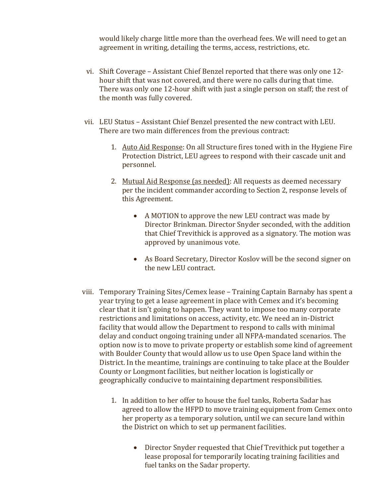would likely charge little more than the overhead fees. We will need to get an agreement in writing, detailing the terms, access, restrictions, etc.

- vi. Shift Coverage Assistant Chief Benzel reported that there was only one 12 hour shift that was not covered, and there were no calls during that time. There was only one 12-hour shift with just a single person on staff; the rest of the month was fully covered.
- vii. LEU Status Assistant Chief Benzel presented the new contract with LEU. There are two main differences from the previous contract:
	- 1. Auto Aid Response: On all Structure fires toned with in the Hygiene Fire Protection District, LEU agrees to respond with their cascade unit and personnel.
	- 2. Mutual Aid Response (as needed): All requests as deemed necessary per the incident commander according to Section 2, response levels of this Agreement.
		- A MOTION to approve the new LEU contract was made by Director Brinkman. Director Snyder seconded, with the addition that Chief Trevithick is approved as a signatory. The motion was approved by unanimous vote.
		- As Board Secretary, Director Koslov will be the second signer on the new LEU contract.
- viii. Temporary Training Sites/Cemex lease Training Captain Barnaby has spent a year trying to get a lease agreement in place with Cemex and it's becoming clear that it isn't going to happen. They want to impose too many corporate restrictions and limitations on access, activity, etc. We need an in-District facility that would allow the Department to respond to calls with minimal delay and conduct ongoing training under all NFPA-mandated scenarios. The option now is to move to private property or establish some kind of agreement with Boulder County that would allow us to use Open Space land within the District. In the meantime, trainings are continuing to take place at the Boulder County or Longmont facilities, but neither location is logistically or geographically conducive to maintaining department responsibilities.
	- 1. In addition to her offer to house the fuel tanks, Roberta Sadar has agreed to allow the HFPD to move training equipment from Cemex onto her property as a temporary solution, until we can secure land within the District on which to set up permanent facilities.
		- Director Snyder requested that Chief Trevithick put together a lease proposal for temporarily locating training facilities and fuel tanks on the Sadar property.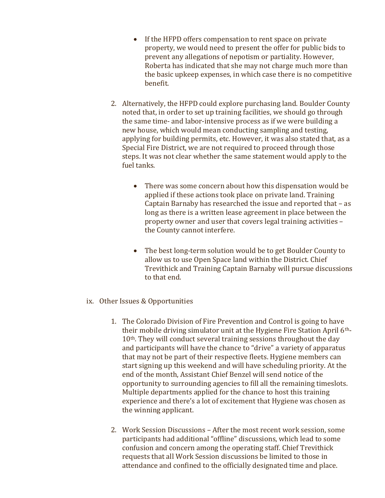- If the HFPD offers compensation to rent space on private property, we would need to present the offer for public bids to prevent any allegations of nepotism or partiality. However, Roberta has indicated that she may not charge much more than the basic upkeep expenses, in which case there is no competitive benefit.
- 2. Alternatively, the HFPD could explore purchasing land. Boulder County noted that, in order to set up training facilities, we should go through the same time- and labor-intensive process as if we were building a new house, which would mean conducting sampling and testing, applying for building permits, etc. However, it was also stated that, as a Special Fire District, we are not required to proceed through those steps. It was not clear whether the same statement would apply to the fuel tanks.
	- There was some concern about how this dispensation would be applied if these actions took place on private land. Training Captain Barnaby has researched the issue and reported that – as long as there is a written lease agreement in place between the property owner and user that covers legal training activities – the County cannot interfere.
	- The best long-term solution would be to get Boulder County to allow us to use Open Space land within the District. Chief Trevithick and Training Captain Barnaby will pursue discussions to that end.
- ix. Other Issues & Opportunities
	- 1. The Colorado Division of Fire Prevention and Control is going to have their mobile driving simulator unit at the Hygiene Fire Station April 6th-10<sup>th</sup>. They will conduct several training sessions throughout the day and participants will have the chance to "drive" a variety of apparatus that may not be part of their respective fleets. Hygiene members can start signing up this weekend and will have scheduling priority. At the end of the month, Assistant Chief Benzel will send notice of the opportunity to surrounding agencies to fill all the remaining timeslots. Multiple departments applied for the chance to host this training experience and there's a lot of excitement that Hygiene was chosen as the winning applicant.
	- 2. Work Session Discussions After the most recent work session, some participants had additional "offline" discussions, which lead to some confusion and concern among the operating staff. Chief Trevithick requests that all Work Session discussions be limited to those in attendance and confined to the officially designated time and place.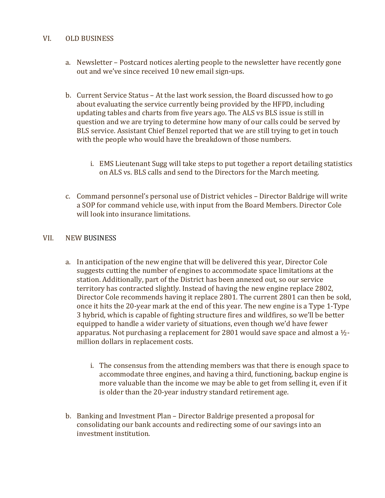#### VI. OLD BUSINESS

- a. Newsletter Postcard notices alerting people to the newsletter have recently gone out and we've since received 10 new email sign-ups.
- b. Current Service Status At the last work session, the Board discussed how to go about evaluating the service currently being provided by the HFPD, including updating tables and charts from five years ago. The ALS vs BLS issue is still in question and we are trying to determine how many of our calls could be served by BLS service. Assistant Chief Benzel reported that we are still trying to get in touch with the people who would have the breakdown of those numbers.
	- i. EMS Lieutenant Sugg will take steps to put together a report detailing statistics on ALS vs. BLS calls and send to the Directors for the March meeting.
- c. Command personnel's personal use of District vehicles Director Baldrige will write a SOP for command vehicle use, with input from the Board Members. Director Cole will look into insurance limitations.

#### VII. NEW BUSINESS

- a. In anticipation of the new engine that will be delivered this year, Director Cole suggests cutting the number of engines to accommodate space limitations at the station. Additionally, part of the District has been annexed out, so our service territory has contracted slightly. Instead of having the new engine replace 2802, Director Cole recommends having it replace 2801. The current 2801 can then be sold, once it hits the 20-year mark at the end of this year. The new engine is a Type 1-Type 3 hybrid, which is capable of fighting structure fires and wildfires, so we'll be better equipped to handle a wider variety of situations, even though we'd have fewer apparatus. Not purchasing a replacement for 2801 would save space and almost a  $\frac{1}{2}$ million dollars in replacement costs.
	- i. The consensus from the attending members was that there is enough space to accommodate three engines, and having a third, functioning, backup engine is more valuable than the income we may be able to get from selling it, even if it is older than the 20-year industry standard retirement age.
- b. Banking and Investment Plan Director Baldrige presented a proposal for consolidating our bank accounts and redirecting some of our savings into an investment institution.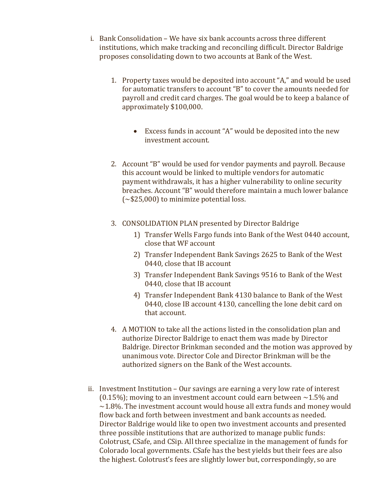- i. Bank Consolidation We have six bank accounts across three different institutions, which make tracking and reconciling difficult. Director Baldrige proposes consolidating down to two accounts at Bank of the West.
	- 1. Property taxes would be deposited into account "A," and would be used for automatic transfers to account "B" to cover the amounts needed for payroll and credit card charges. The goal would be to keep a balance of approximately \$100,000.
		- Excess funds in account "A" would be deposited into the new investment account.
	- 2. Account "B" would be used for vendor payments and payroll. Because this account would be linked to multiple vendors for automatic payment withdrawals, it has a higher vulnerability to online security breaches. Account "B" would therefore maintain a much lower balance  $(-\$25,000)$  to minimize potential loss.
	- 3. CONSOLIDATION PLAN presented by Director Baldrige
		- 1) Transfer Wells Fargo funds into Bank of the West 0440 account, close that WF account
		- 2) Transfer Independent Bank Savings 2625 to Bank of the West 0440, close that IB account
		- 3) Transfer Independent Bank Savings 9516 to Bank of the West 0440, close that IB account
		- 4) Transfer Independent Bank 4130 balance to Bank of the West 0440, close IB account 4130, cancelling the lone debit card on that account.
	- 4. A MOTION to take all the actions listed in the consolidation plan and authorize Director Baldrige to enact them was made by Director Baldrige. Director Brinkman seconded and the motion was approved by unanimous vote. Director Cole and Director Brinkman will be the authorized signers on the Bank of the West accounts.
- ii. Investment Institution Our savings are earning a very low rate of interest (0.15%); moving to an investment account could earn between  $\sim$  1.5% and  $\sim$ 1.8%. The investment account would house all extra funds and money would flow back and forth between investment and bank accounts as needed. Director Baldrige would like to open two investment accounts and presented three possible institutions that are authorized to manage public funds: Colotrust, CSafe, and CSip. All three specialize in the management of funds for Colorado local governments. CSafe has the best yields but their fees are also the highest. Colotrust's fees are slightly lower but, correspondingly, so are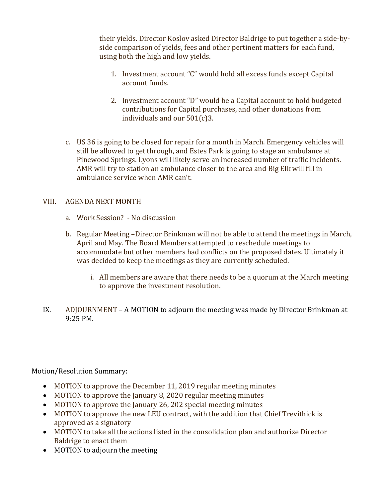their yields. Director Koslov asked Director Baldrige to put together a side-byside comparison of yields, fees and other pertinent matters for each fund, using both the high and low yields.

- 1. Investment account "C" would hold all excess funds except Capital account funds.
- 2. Investment account "D" would be a Capital account to hold budgeted contributions for Capital purchases, and other donations from individuals and our 501(c)3.
- c. US 36 is going to be closed for repair for a month in March. Emergency vehicles will still be allowed to get through, and Estes Park is going to stage an ambulance at Pinewood Springs. Lyons will likely serve an increased number of traffic incidents. AMR will try to station an ambulance closer to the area and Big Elk will fill in ambulance service when AMR can't.

# VIII. AGENDA NEXT MONTH

- a. Work Session? No discussion
- b. Regular Meeting –Director Brinkman will not be able to attend the meetings in March, April and May. The Board Members attempted to reschedule meetings to accommodate but other members had conflicts on the proposed dates. Ultimately it was decided to keep the meetings as they are currently scheduled.
	- i. All members are aware that there needs to be a quorum at the March meeting to approve the investment resolution.
- IX. ADJOURNMENT A MOTION to adjourn the meeting was made by Director Brinkman at 9:25 PM.

Motion/Resolution Summary:

- MOTION to approve the December 11, 2019 regular meeting minutes
- MOTION to approve the January 8, 2020 regular meeting minutes
- MOTION to approve the January 26, 202 special meeting minutes
- MOTION to approve the new LEU contract, with the addition that Chief Trevithick is approved as a signatory
- MOTION to take all the actions listed in the consolidation plan and authorize Director Baldrige to enact them
- MOTION to adjourn the meeting